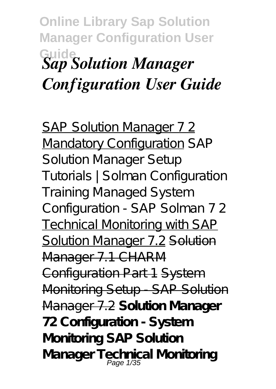## **Online Library Sap Solution Manager Configuration User Guide** *Sap Solution Manager Configuration User Guide*

SAP Solution Manager 72 Mandatory Configuration *SAP Solution Manager Setup Tutorials | Solman Configuration Training Managed System Configuration - SAP Solman 7 2* Technical Monitoring with SAP Solution Manager 7.2 Solution Manager 7.1 CHARM Configuration Part 1 System Monitoring Setup - SAP Solution Manager 7.2 **Solution Manager 72 Configuration - System Monitoring SAP Solution Manager Technical Monitoring** Page 1/35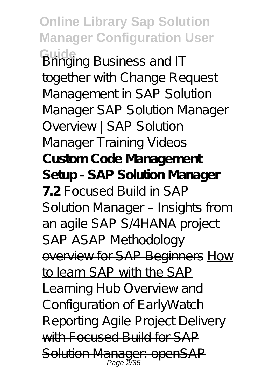**Online Library Sap Solution Manager Configuration User Guide** *Bringing Business and IT together with Change Request Management in SAP Solution Manager SAP Solution Manager Overview | SAP Solution Manager Training Videos* **Custom Code Management Setup - SAP Solution Manager 7.2** *Focused Build in SAP Solution Manager – Insights from an agile SAP S/4HANA project* SAP ASAP Methodology overview for SAP Beginners How to learn SAP with the SAP Learning Hub *Overview and Configuration of EarlyWatch Reporting* Agile Project Delivery with Focused Build for SAP Solution Manager: openSAP Page 2/35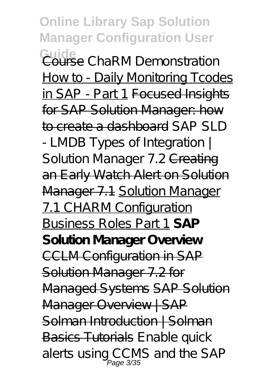**Online Library Sap Solution Manager Configuration User Guide** Course *ChaRM Demonstration* How to - Daily Monitoring Tcodes in SAP - Part 1 Focused Insights for SAP Solution Manager: how to create a dashboard *SAP SLD - LMDB Types of Integration |* Solution Manager 7.2 <del>Creating</del> an Early Watch Alert on Solution Manager 7.1 Solution Manager 7.1 CHARM Configuration Business Roles Part 1 **SAP Solution Manager Overview** CCLM Configuration in SAP Solution Manager 7.2 for Managed Systems SAP Solution Manager Overview | SAP Solman Introduction | Solman Basics Tutorials *Enable quick alerts using CCMS and the SAP* Page 3/35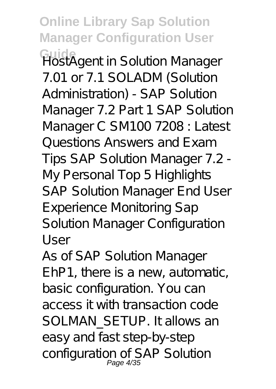**Online Library Sap Solution Manager Configuration User Guide** *HostAgent in Solution Manager 7.01 or 7.1* SOLADM (Solution Administration) - SAP Solution Manager 7.2 Part 1 *SAP Solution Manager C SM100 7208 : Latest Questions Answers and Exam Tips* SAP Solution Manager 7.2 - My Personal Top 5 Highlights *SAP Solution Manager End User Experience Monitoring* Sap Solution Manager Configuration User

As of SAP Solution Manager EhP1, there is a new, automatic, basic configuration. You can access it with transaction code SOLMAN\_SETUP. It allows an easy and fast step-by-step configuration of SAP Solution Page 4/35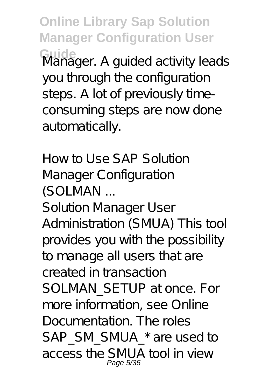**Online Library Sap Solution Manager Configuration User Guide** Manager. A guided activity leads you through the configuration steps. A lot of previously timeconsuming steps are now done automatically.

How to Use SAP Solution Manager Configuration (SOLMAN ... Solution Manager User Administration (SMUA) This tool provides you with the possibility to manage all users that are created in transaction SOLMAN SETUP at once. For more information, see Online Documentation. The roles SAP\_SM\_SMUA\_\* are used to access the SMUA tool in view Page 5/35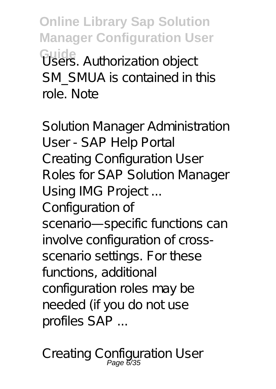**Online Library Sap Solution Manager Configuration User Guide** Users. Authorization object SM\_SMUA is contained in this role. Note

Solution Manager Administration User - SAP Help Portal Creating Configuration User Roles for SAP Solution Manager Using IMG Project ... Configuration of scenario-specific functions can involve configuration of crossscenario settings. For these functions, additional configuration roles may be needed (if you do not use profiles SAP ...

Creating Configuration User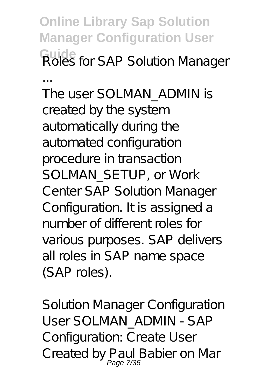**Online Library Sap Solution Manager Configuration User Guide** Roles for SAP Solution Manager

... The user SOLMAN\_ADMIN is created by the system automatically during the automated configuration procedure in transaction SOLMAN\_SETUP, or Work Center SAP Solution Manager Configuration. It is assigned a number of different roles for various purposes. SAP delivers all roles in SAP name space (SAP roles).

Solution Manager Configuration User SOLMAN\_ADMIN - SAP Configuration: Create User Created by Paul Babier on Mar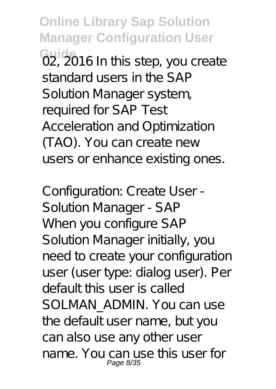**Online Library Sap Solution Manager Configuration User G<sub>2</sub>, 2016 In this step, you create** standard users in the SAP Solution Manager system, required for SAP Test Acceleration and Optimization (TAO). You can create new users or enhance existing ones.

Configuration: Create User - Solution Manager - SAP When you configure SAP Solution Manager initially, you need to create your configuration user (user type: dialog user). Per default this user is called SOLMAN\_ADMIN. You can use the default user name, but you can also use any other user name. You can use this user for Page 8/35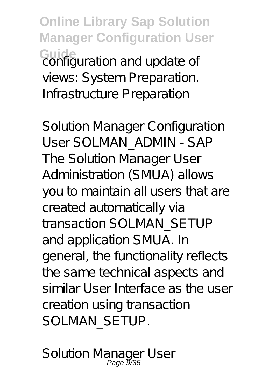**Online Library Sap Solution Manager Configuration User Guide**<br>**Configuration and update of** views: System Preparation. Infrastructure Preparation

Solution Manager Configuration User SOLMAN\_ADMIN - SAP The Solution Manager User Administration (SMUA) allows you to maintain all users that are created automatically via transaction SOLMAN\_SETUP and application SMUA. In general, the functionality reflects the same technical aspects and similar User Interface as the user creation using transaction SOLMAN\_SETUP.

Solution Manager User<br>Page 9/35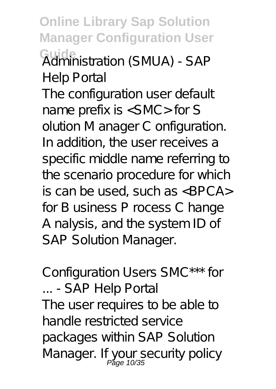**Online Library Sap Solution Manager Configuration User Guide** Administration (SMUA) - SAP Help Portal

The configuration user default name prefix is <SMC> for S olution M anager C onfiguration. In addition, the user receives a specific middle name referring to the scenario procedure for which is can be used, such as <BPCA> for B usiness P rocess C hange A nalysis, and the system ID of SAP Solution Manager.

Configuration Users SMC\*\*\* for ... - SAP Help Portal The user requires to be able to handle restricted service packages within SAP Solution Manager. If your security policy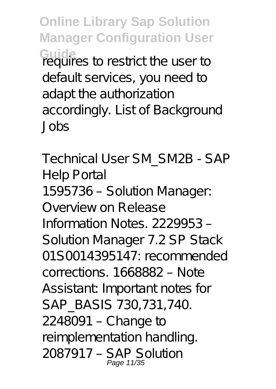**Online Library Sap Solution Manager Configuration User** Guide<br>requires to restrict the user to default services, you need to adapt the authorization accordingly. List of Background Jobs

Technical User SM\_SM2B - SAP Help Portal 1595736 – Solution Manager: Overview on Release Information Notes. 2229953 – Solution Manager 7.2 SP Stack 01S0014395147: recommended corrections. 1668882 – Note Assistant: Important notes for SAP\_BASIS 730,731,740. 2248091 – Change to reimplementation handling. 2087917 – SAP Solution Page 11/35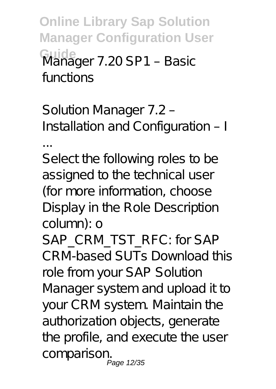**Online Library Sap Solution Manager Configuration User Guide** Manager 7.20 SP1 – Basic functions

Solution Manager 7.2 – Installation and Configuration – I

...

Select the following roles to be assigned to the technical user (for more information, choose Display in the Role Description column): o

SAP\_CRM\_TST\_RFC: for SAP CRM-based SUTs Download this role from your SAP Solution Manager system and upload it to your CRM system. Maintain the authorization objects, generate the profile, and execute the user comparison. Page 12/35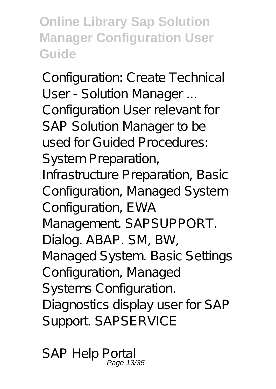**Online Library Sap Solution Manager Configuration User Guide**

Configuration: Create Technical User - Solution Manager ... Configuration User relevant for SAP Solution Manager to be used for Guided Procedures: System Preparation, Infrastructure Preparation, Basic Configuration, Managed System Configuration, EWA Management SAPSUPPORT. Dialog. ABAP. SM, BW, Managed System. Basic Settings Configuration, Managed Systems Configuration. Diagnostics display user for SAP Support. SAPSERVICE

SAP Help Portal Page 13/35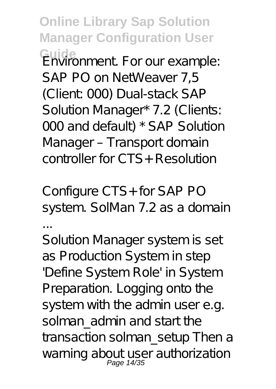**Online Library Sap Solution Manager Configuration User Guide** Environment. For our example: SAP PO on NetWeaver 7,5 (Client: 000) Dual-stack SAP Solution Manager\* 7.2 (Clients: 000 and default) \* SAP Solution Manager – Transport domain controller for CTS+ Resolution

Configure CTS+ for SAP PO system. SolMan 7.2 as a domain ...

Solution Manager system is set as Production System in step 'Define System Role' in System Preparation. Logging onto the system with the admin user e.g. solman\_admin and start the transaction solman\_setup Then a warning about user authorization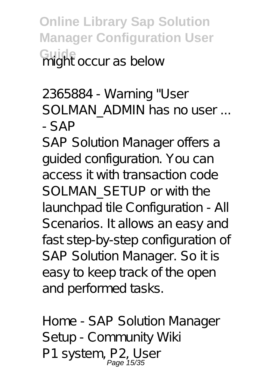**Online Library Sap Solution Manager Configuration User Guight occur as below** 

2365884 - Warning "User SOLMAN ADMIN has no user ... - SAP

SAP Solution Manager offers a guided configuration. You can access it with transaction code SOLMAN\_SETUP or with the launchpad tile Configuration - All Scenarios. It allows an easy and fast step-by-step configuration of SAP Solution Manager. So it is easy to keep track of the open and performed tasks.

Home - SAP Solution Manager Setup - Community Wiki P1 system, P2, User<br>Page 15/35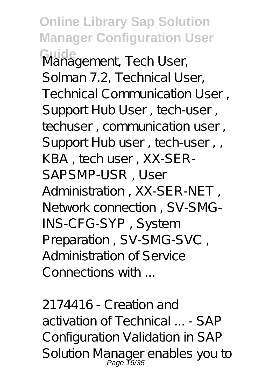**Online Library Sap Solution Manager Configuration User Guide** Management, Tech User, Solman 7.2, Technical User, Technical Communication User , Support Hub User , tech-user , techuser, communication user, Support Hub user, tech-user, KBA , tech user , XX-SER-SAPSMP-USR , User Administration , XX-SER-NET , Network connection , SV-SMG-INS-CFG-SYP , System Preparation , SV-SMG-SVC , Administration of Service Connections with ...

2174416 - Creation and activation of Technical ... - SAP Configuration Validation in SAP Solution Manager enables you to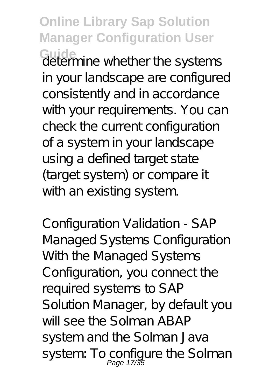**Online Library Sap Solution Manager Configuration User** Guide<br>determine whether the systems

in your landscape are configured consistently and in accordance with your requirements. You can check the current configuration of a system in your landscape using a defined target state (target system) or compare it with an existing system.

Configuration Validation - SAP Managed Systems Configuration With the Managed Systems Configuration, you connect the required systems to SAP Solution Manager, by default you will see the Solman ABAP system and the Solman Java system: To configure the Solman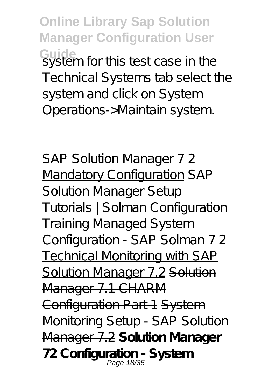**Online Library Sap Solution Manager Configuration User** Guide<br>system for this test case in the Technical Systems tab select the system and click on System Operations->Maintain system.

SAP Solution Manager 72 Mandatory Configuration *SAP Solution Manager Setup Tutorials | Solman Configuration Training Managed System Configuration - SAP Solman 7 2* Technical Monitoring with SAP Solution Manager 7.2 Solution Manager 7.1 CHARM Configuration Part 1 System Monitoring Setup SAP Solution Manager 7.2 **Solution Manager 72 Configuration - System** Page 18/35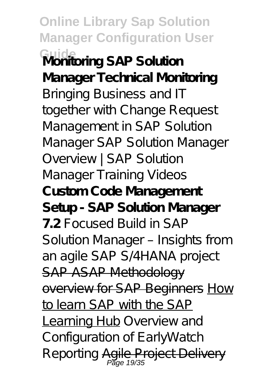**Online Library Sap Solution Manager Configuration User Guide Monitoring SAP Solution Manager Technical Monitoring** *Bringing Business and IT together with Change Request Management in SAP Solution Manager SAP Solution Manager Overview | SAP Solution Manager Training Videos* **Custom Code Management Setup - SAP Solution Manager 7.2** *Focused Build in SAP Solution Manager – Insights from an agile SAP S/4HANA project* SAP ASAP Methodology overview for SAP Beginners How to learn SAP with the SAP Learning Hub *Overview and Configuration of EarlyWatch Reporting* Agile Project Delivery Page 19/35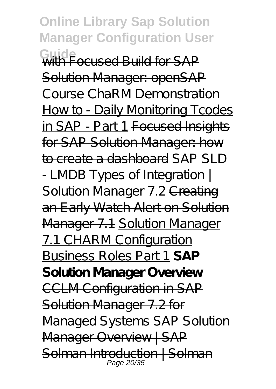**Online Library Sap Solution Manager Configuration User Guide** with Focused Build for SAP Solution Manager: openSAP Course *ChaRM Demonstration* How to - Daily Monitoring Tcodes in SAP - Part 1 Focused Insights for SAP Solution Manager: how to create a dashboard *SAP SLD - LMDB Types of Integration |* Solution Manager 7.2 <del>Creating</del> an Early Watch Alert on Solution Manager 7.1 Solution Manager 7.1 CHARM Configuration Business Roles Part 1 **SAP Solution Manager Overview** CCLM Configuration in SAP Solution Manager 7.2 for Managed Systems SAP Solution Manager Overview | SAP Solman Introduction | Solman Page 20/35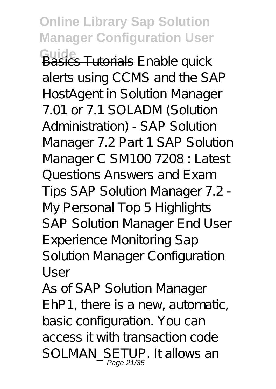**Online Library Sap Solution Manager Configuration User Guide** Basics Tutorials *Enable quick alerts using CCMS and the SAP HostAgent in Solution Manager 7.01 or 7.1* SOLADM (Solution Administration) - SAP Solution Manager 7.2 Part 1 *SAP Solution Manager C SM100 7208 : Latest Questions Answers and Exam Tips* SAP Solution Manager 7.2 - My Personal Top 5 Highlights *SAP Solution Manager End User Experience Monitoring* Sap Solution Manager Configuration User

As of SAP Solution Manager EhP1, there is a new, automatic, basic configuration. You can access it with transaction code SOLMAN\_SETUP. It allows an Page 21/35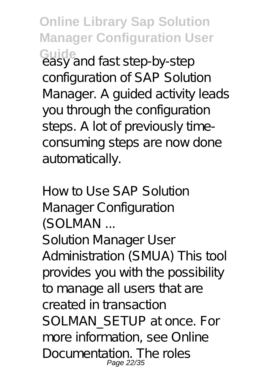**Online Library Sap Solution Manager Configuration User** Guide<br>easy and fast step-by-step configuration of SAP Solution Manager. A quided activity leads you through the configuration steps. A lot of previously timeconsuming steps are now done automatically.

How to Use SAP Solution Manager Configuration (SOLMAN ...

Solution Manager User Administration (SMUA) This tool provides you with the possibility to manage all users that are created in transaction SOLMAN\_SETUP at once. For more information, see Online Documentation. The roles Page 22/3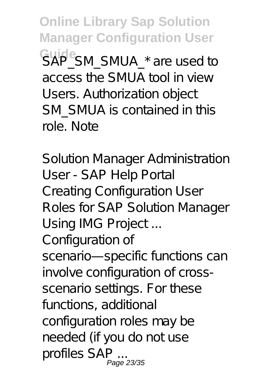**Online Library Sap Solution Manager Configuration User**  $S$ AP<sup>e</sup>SM\_SMUA\_\* are used to access the SMUA tool in view Users. Authorization object SM\_SMUA is contained in this role. Note

Solution Manager Administration User - SAP Help Portal Creating Configuration User Roles for SAP Solution Manager Using IMG Project ... Configuration of scenario-specific functions can involve configuration of crossscenario settings. For these functions, additional configuration roles may be needed (if you do not use profiles SAP ... Page 23/35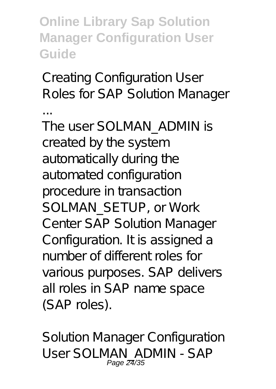**Online Library Sap Solution Manager Configuration User Guide**

Creating Configuration User Roles for SAP Solution Manager

... The user SOLMAN\_ADMIN is created by the system automatically during the automated configuration procedure in transaction SOLMAN\_SETUP, or Work Center SAP Solution Manager Configuration. It is assigned a number of different roles for various purposes. SAP delivers all roles in SAP name space (SAP roles).

Solution Manager Configuration User SOLMAN\_ADMIN - SAP Page 24/35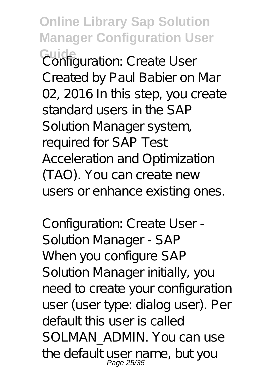**Online Library Sap Solution Manager Configuration User Guide** Configuration: Create User Created by Paul Babier on Mar 02, 2016 In this step, you create standard users in the SAP Solution Manager system, required for SAP Test Acceleration and Optimization (TAO). You can create new users or enhance existing ones.

Configuration: Create User - Solution Manager - SAP When you configure SAP Solution Manager initially, you need to create your configuration user (user type: dialog user). Per default this user is called SOLMAN ADMIN. You can use the default user name, but you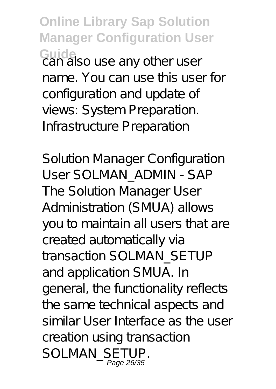**Online Library Sap Solution Manager Configuration User Guide** can also use any other user name. You can use this user for configuration and update of views: System Preparation. Infrastructure Preparation

Solution Manager Configuration User SOLMAN\_ADMIN - SAP The Solution Manager User Administration (SMUA) allows you to maintain all users that are created automatically via transaction SOLMAN\_SETUP and application SMUA. In general, the functionality reflects the same technical aspects and similar User Interface as the user creation using transaction SOLMAN\_SETUP. Page 26/3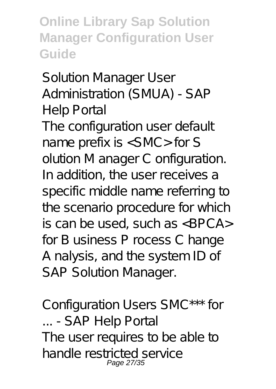**Online Library Sap Solution Manager Configuration User Guide**

Solution Manager User Administration (SMUA) - SAP Help Portal The configuration user default name prefix is <SMC> for S olution M anager C onfiguration. In addition, the user receives a specific middle name referring to the scenario procedure for which is can be used, such as <BPCA> for B usiness P rocess C hange A nalysis, and the system ID of SAP Solution Manager.

Configuration Users SMC\*\*\* for ... - SAP Help Portal The user requires to be able to handle restricted service Page 27/3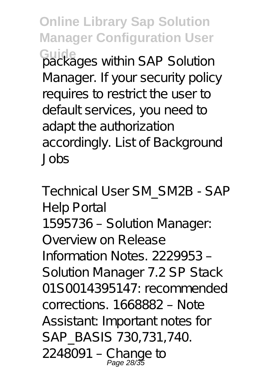**Online Library Sap Solution Manager Configuration User** Guide<sub>Backa</sub>ges within SAP Solution Manager. If your security policy requires to restrict the user to default services, you need to adapt the authorization accordingly. List of Background Jobs

Technical User SM\_SM2B - SAP Help Portal 1595736 – Solution Manager: Overview on Release Information Notes. 2229953 – Solution Manager 7.2 SP Stack 01S0014395147: recommended corrections. 1668882 – Note Assistant: Important notes for SAP\_BASIS 730,731,740. 2248091 – Change to Page 28/35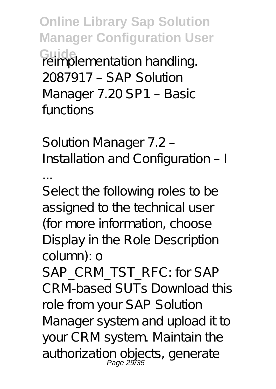**Online Library Sap Solution Manager Configuration User Guide** reimplementation handling. 2087917 – SAP Solution Manager 7.20 SP1 – Basic functions

Solution Manager 7.2 – Installation and Configuration – I

...

Select the following roles to be assigned to the technical user (for more information, choose Display in the Role Description column): o

SAP\_CRM\_TST\_RFC: for SAP CRM-based SUTs Download this role from your SAP Solution Manager system and upload it to your CRM system. Maintain the authorization objects, generate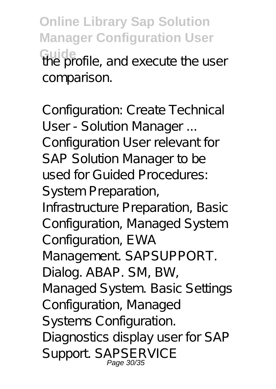**Online Library Sap Solution Manager Configuration User** Guide<br>the profile, and execute the user comparison.

Configuration: Create Technical User - Solution Manager ... Configuration User relevant for SAP Solution Manager to be used for Guided Procedures: System Preparation, Infrastructure Preparation, Basic Configuration, Managed System Configuration, EWA Management. SAPSUPPORT. Dialog. ABAP. SM, BW, Managed System. Basic Settings Configuration, Managed Systems Configuration. Diagnostics display user for SAP Support. SAPSERVICE Page 30/3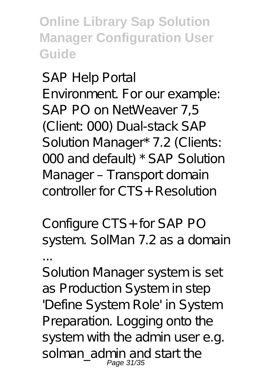**Online Library Sap Solution Manager Configuration User Guide**

SAP Help Portal Environment. For our example: SAP PO on NetWeaver 7,5 (Client: 000) Dual-stack SAP Solution Manager\* 7.2 (Clients: 000 and default) \* SAP Solution Manager – Transport domain controller for CTS+ Resolution

Configure CTS+ for SAP PO system. SolMan 7.2 as a domain ...

Solution Manager system is set as Production System in step 'Define System Role' in System Preparation. Logging onto the system with the admin user e.g. solman\_admin and start the Page 31/35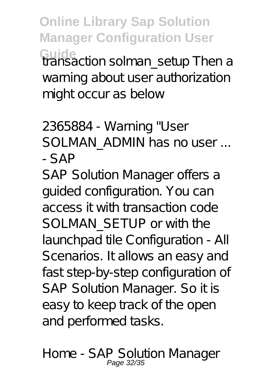**Online Library Sap Solution Manager Configuration User** Guide<br>**transaction solman\_setup Then a** warning about user authorization might occur as below

2365884 - Warning "User SOLMAN ADMIN has no user ... - SAP

SAP Solution Manager offers a guided configuration. You can access it with transaction code SOLMAN SETUP or with the launchpad tile Configuration - All Scenarios. It allows an easy and fast step-by-step configuration of SAP Solution Manager. So it is easy to keep track of the open and performed tasks.

Home - SAP Solution Manager Page 32/35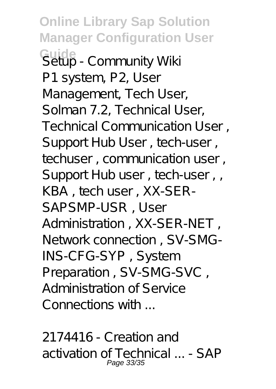**Online Library Sap Solution Manager Configuration User Guide** Setup - Community Wiki P1 system, P2, User Management, Tech User, Solman 7.2, Technical User, Technical Communication User , Support Hub User, tech-user, techuser, communication user. Support Hub user, tech-user, KBA , tech user , XX-SER-SAPSMP-USR , User Administration , XX-SER-NET , Network connection , SV-SMG-INS-CFG-SYP , System Preparation , SV-SMG-SVC , Administration of Service Connections with ...

2174416 - Creation and activation of Technical ... - SAP Page 33/35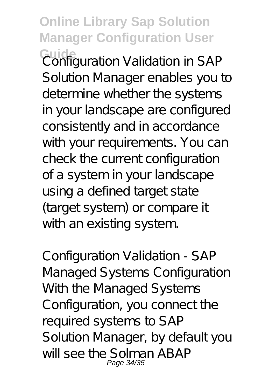**Online Library Sap Solution Manager Configuration User** Guide<br>Configuration Validation in SAP Solution Manager enables you to determine whether the systems in your landscape are configured consistently and in accordance with your requirements. You can check the current configuration of a system in your landscape using a defined target state (target system) or compare it with an existing system.

Configuration Validation - SAP Managed Systems Configuration With the Managed Systems Configuration, you connect the required systems to SAP Solution Manager, by default you will see the Solman ABAP Page 34/35